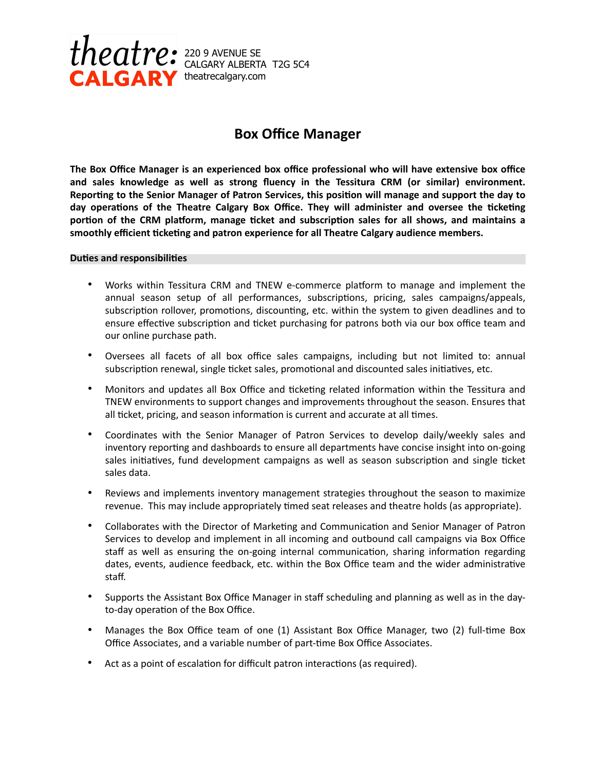

# **Box Office Manager**

**The Box Office Manager is an experienced box office professional who will have extensive box office and sales knowledge as well as strong fluency in the Tessitura CRM (or similar) environment.**  Reporting to the Senior Manager of Patron Services, this position will manage and support the day to day operations of the Theatre Calgary Box Office. They will administer and oversee the ticketing portion of the CRM platform, manage ticket and subscription sales for all shows, and maintains a smoothly efficient ticketing and patron experience for all Theatre Calgary audience members.

### **Duties and responsibilities**

- Works within Tessitura CRM and TNEW e-commerce platform to manage and implement the annual season setup of all performances, subscriptions, pricing, sales campaigns/appeals, subscription rollover, promotions, discounting, etc. within the system to given deadlines and to ensure effective subscription and ticket purchasing for patrons both via our box office team and our online purchase path.
- Oversees all facets of all box office sales campaigns, including but not limited to: annual subscription renewal, single ticket sales, promotional and discounted sales initiatives, etc.
- Monitors and updates all Box Office and ticketing related information within the Tessitura and TNEW environments to support changes and improvements throughout the season. Ensures that all ticket, pricing, and season information is current and accurate at all times.
- Coordinates with the Senior Manager of Patron Services to develop daily/weekly sales and inventory reporting and dashboards to ensure all departments have concise insight into on-going sales initiatives, fund development campaigns as well as season subscription and single ticket sales data.
- Reviews and implements inventory management strategies throughout the season to maximize revenue. This may include appropriately timed seat releases and theatre holds (as appropriate).
- Collaborates with the Director of Marketing and Communication and Senior Manager of Patron Services to develop and implement in all incoming and outbound call campaigns via Box Office staff as well as ensuring the on-going internal communication, sharing information regarding dates, events, audience feedback, etc. within the Box Office team and the wider administrative staff.
- Supports the Assistant Box Office Manager in staff scheduling and planning as well as in the dayto-day operation of the Box Office.
- Manages the Box Office team of one  $(1)$  Assistant Box Office Manager, two  $(2)$  full-time Box Office Associates, and a variable number of part-time Box Office Associates.
- Act as a point of escalation for difficult patron interactions (as required).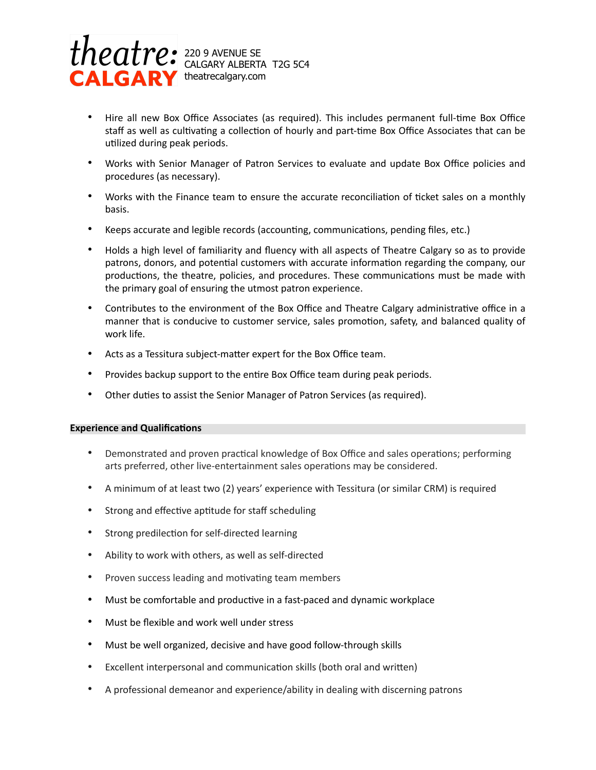

- Hire all new Box Office Associates (as required). This includes permanent full-time Box Office staff as well as cultivating a collection of hourly and part-time Box Office Associates that can be utilized during peak periods.
- Works with Senior Manager of Patron Services to evaluate and update Box Office policies and procedures (as necessary).
- Works with the Finance team to ensure the accurate reconciliation of ticket sales on a monthly basis.
- Keeps accurate and legible records (accounting, communications, pending files, etc.)
- Holds a high level of familiarity and fluency with all aspects of Theatre Calgary so as to provide patrons, donors, and potential customers with accurate information regarding the company, our productions, the theatre, policies, and procedures. These communications must be made with the primary goal of ensuring the utmost patron experience.
- Contributes to the environment of the Box Office and Theatre Calgary administrative office in a manner that is conducive to customer service, sales promotion, safety, and balanced quality of work life.
- Acts as a Tessitura subject-matter expert for the Box Office team.
- Provides backup support to the entire Box Office team during peak periods.
- Other duties to assist the Senior Manager of Patron Services (as required).

# **Experience and Qualifications**

- Demonstrated and proven practical knowledge of Box Office and sales operations; performing arts preferred, other live-entertainment sales operations may be considered.
- A minimum of at least two (2) years' experience with Tessitura (or similar CRM) is required
- Strong and effective aptitude for staff scheduling
- Strong predilection for self-directed learning
- Ability to work with others, as well as self-directed
- Proven success leading and motivating team members
- Must be comfortable and productive in a fast-paced and dynamic workplace
- Must be flexible and work well under stress
- Must be well organized, decisive and have good follow-through skills
- Excellent interpersonal and communication skills (both oral and written)
- A professional demeanor and experience/ability in dealing with discerning patrons